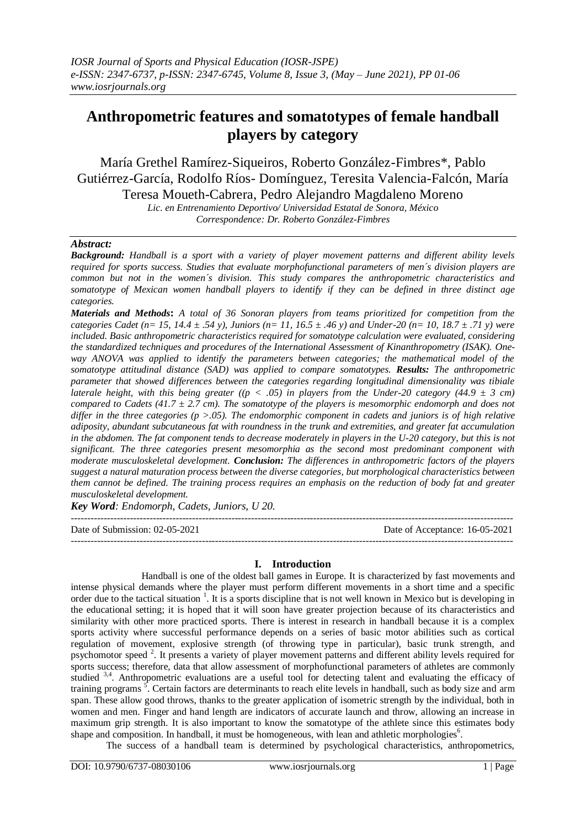# **Anthropometric features and somatotypes of female handball players by category**

María Grethel Ramírez-Siqueiros, Roberto González-Fimbres\*, Pablo Gutiérrez-García, Rodolfo Ríos- Domínguez, Teresita Valencia-Falcón, María Teresa Moueth-Cabrera, Pedro Alejandro Magdaleno Moreno

*Lic. en Entrenamiento Deportivo/ Universidad Estatal de Sonora, México Correspondence: Dr. Roberto González-Fimbres*

# *Abstract:*

*Background: Handball is a sport with a variety of player movement patterns and different ability levels required for sports success. Studies that evaluate morphofunctional parameters of men´s division players are common but not in the women´s division. This study compares the anthropometric characteristics and somatotype of Mexican women handball players to identify if they can be defined in three distinct age categories.*

*Materials and Methods***:** *A total of 36 Sonoran players from teams prioritized for competition from the categories Cadet (n= 15, 14.4 ± .54 y), Juniors (n= 11, 16.5 ± .46 y) and Under-20 (n= 10, 18.7 ± .71 y) were included. Basic anthropometric characteristics required for somatotype calculation were evaluated, considering the standardized techniques and procedures of the International Assessment of Kinanthropometry (ISAK). Oneway ANOVA was applied to identify the parameters between categories; the mathematical model of the somatotype attitudinal distance (SAD) was applied to compare somatotypes. Results: The anthropometric parameter that showed differences between the categories regarding longitudinal dimensionality was tibiale laterale height, with this being greater ((p < .05) in players from the Under-20 category (44.9 ± 3 cm) compared to Cadets (41.7 ± 2.7 cm). The somatotype of the players is mesomorphic endomorph and does not differ in the three categories (p >.05). The endomorphic component in cadets and juniors is of high relative adiposity, abundant subcutaneous fat with roundness in the trunk and extremities, and greater fat accumulation in the abdomen. The fat component tends to decrease moderately in players in the U-20 category, but this is not significant. The three categories present mesomorphia as the second most predominant component with moderate musculoskeletal development. Conclusion: The differences in anthropometric factors of the players suggest a natural maturation process between the diverse categories, but morphological characteristics between them cannot be defined. The training process requires an emphasis on the reduction of body fat and greater musculoskeletal development.*

*Key Word: Endomorph, Cadets, Juniors, U 20.*

 $-1.1$ 

Date of Submission: 02-05-2021 Date of Acceptance: 16-05-2021 ---------------------------------------------------------------------------------------------------------------------------------------

## **I. Introduction**

Handball is one of the oldest ball games in Europe. It is characterized by fast movements and intense physical demands where the player must perform different movements in a short time and a specific order due to the tactical situation  $1$ . It is a sports discipline that is not well known in Mexico but is developing in the educational setting; it is hoped that it will soon have greater projection because of its characteristics and similarity with other more practiced sports. There is interest in research in handball because it is a complex sports activity where successful performance depends on a series of basic motor abilities such as cortical regulation of movement, explosive strength (of throwing type in particular), basic trunk strength, and psychomotor speed<sup>2</sup>. It presents a variety of player movement patterns and different ability levels required for sports success; therefore, data that allow assessment of morphofunctional parameters of athletes are commonly studied <sup>3,4</sup>. Anthropometric evaluations are a useful tool for detecting talent and evaluating the efficacy of training programs<sup>5</sup>. Certain factors are determinants to reach elite levels in handball, such as body size and arm span. These allow good throws, thanks to the greater application of isometric strength by the individual, both in women and men. Finger and hand length are indicators of accurate launch and throw, allowing an increase in maximum grip strength. It is also important to know the somatotype of the athlete since this estimates body shape and composition. In handball, it must be homogeneous, with lean and athletic morphologies<sup>6</sup>.

The success of a handball team is determined by psychological characteristics, anthropometrics,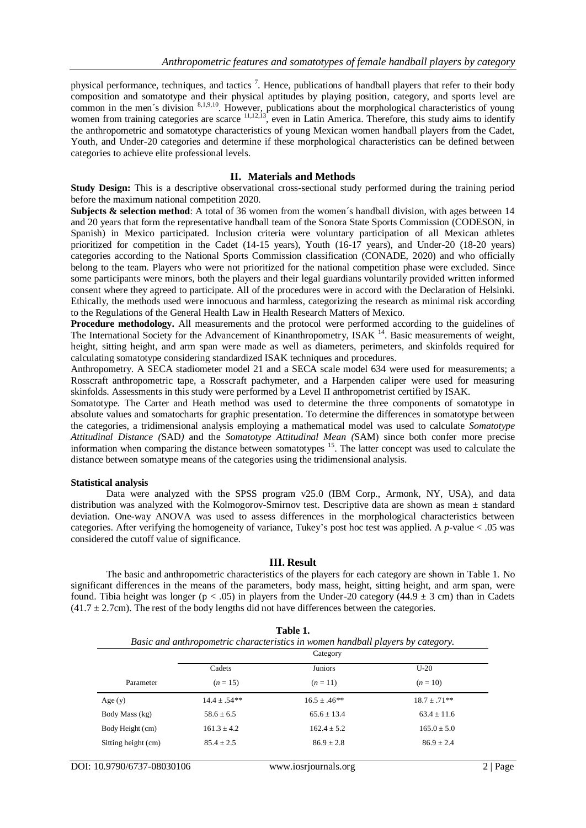physical performance, techniques, and tactics<sup>7</sup>. Hence, publications of handball players that refer to their body composition and somatotype and their physical aptitudes by playing position, category, and sports level are common in the men's division <sup>8,1,9,10</sup>. However, publications about the morphological characteristics of young women from training categories are scarce  $11,12,13$ , even in Latin America. Therefore, this study aims to identify the anthropometric and somatotype characteristics of young Mexican women handball players from the Cadet, Youth, and Under-20 categories and determine if these morphological characteristics can be defined between categories to achieve elite professional levels.

### **II. Materials and Methods**

**Study Design:** This is a descriptive observational cross-sectional study performed during the training period before the maximum national competition 2020.

**Subjects & selection method**: A total of 36 women from the women's handball division, with ages between 14 and 20 years that form the representative handball team of the Sonora State Sports Commission (CODESON, in Spanish) in Mexico participated. Inclusion criteria were voluntary participation of all Mexican athletes prioritized for competition in the Cadet (14-15 years), Youth (16-17 years), and Under-20 (18-20 years) categories according to the National Sports Commission classification (CONADE, 2020) and who officially belong to the team. Players who were not prioritized for the national competition phase were excluded. Since some participants were minors, both the players and their legal guardians voluntarily provided written informed consent where they agreed to participate. All of the procedures were in accord with the Declaration of Helsinki. Ethically, the methods used were innocuous and harmless, categorizing the research as minimal risk according to the Regulations of the General Health Law in Health Research Matters of Mexico.

**Procedure methodology.** All measurements and the protocol were performed according to the guidelines of The International Society for the Advancement of Kinanthropometry, ISAK<sup>14</sup>. Basic measurements of weight, height, sitting height, and arm span were made as well as diameters, perimeters, and skinfolds required for calculating somatotype considering standardized ISAK techniques and procedures.

Anthropometry. A SECA stadiometer model 21 and a SECA scale model 634 were used for measurements; a Rosscraft anthropometric tape, a Rosscraft pachymeter, and a Harpenden caliper were used for measuring skinfolds. Assessments in this study were performed by a Level II anthropometrist certified by ISAK.

Somatotype. The Carter and Heath method was used to determine the three components of somatotype in absolute values and somatocharts for graphic presentation. To determine the differences in somatotype between the categories, a tridimensional analysis employing a mathematical model was used to calculate *Somatotype Attitudinal Distance (*SAD*)* and the *Somatotype Attitudinal Mean (*SAM) since both confer more precise information when comparing the distance between somatotypes <sup>15</sup>. The latter concept was used to calculate the distance between somatype means of the categories using the tridimensional analysis.

#### **Statistical analysis**

Data were analyzed with the SPSS program v25.0 (IBM Corp., Armonk, NY, USA), and data distribution was analyzed with the Kolmogorov-Smirnov test. Descriptive data are shown as mean ± standard deviation. One-way ANOVA was used to assess differences in the morphological characteristics between categories. After verifying the homogeneity of variance, Tukey's post hoc test was applied. A *p*-value < .05 was considered the cutoff value of significance.

#### **III. Result**

The basic and anthropometric characteristics of the players for each category are shown in Table 1. No significant differences in the means of the parameters, body mass, height, sitting height, and arm span, were found. Tibia height was longer ( $p < .05$ ) in players from the Under-20 category (44.9  $\pm$  3 cm) than in Cadets  $(41.7 \pm 2.7$ cm). The rest of the body lengths did not have differences between the categories.

|                     | Category       |                |                |
|---------------------|----------------|----------------|----------------|
|                     | Cadets         | <b>Juniors</b> | $U-20$         |
| Parameter           | $(n = 15)$     | $(n=11)$       | $(n=10)$       |
| Age(y)              | $14.4 + .54**$ | $16.5 + 46**$  | $18.7 + .71**$ |
| Body Mass (kg)      | $58.6 + 6.5$   | $65.6 + 13.4$  | $63.4 + 11.6$  |
| Body Height (cm)    | $161.3 + 4.2$  | $162.4 + 5.2$  | $165.0 + 5.0$  |
| Sitting height (cm) | $85.4 + 2.5$   | $86.9 \pm 2.8$ | $86.9 \pm 2.4$ |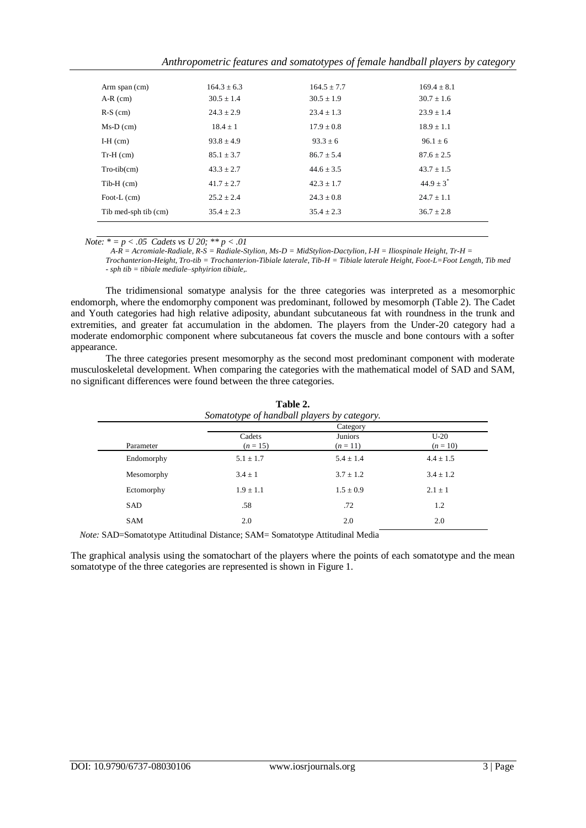| Anthropometric features and somatotypes of female handball players by category |  |
|--------------------------------------------------------------------------------|--|
|                                                                                |  |

| Arm span (cm)        | $164.3 \pm 6.3$ | $164.5 \pm 7.7$ | $169.4 \pm 8.1$ |
|----------------------|-----------------|-----------------|-----------------|
| $A-R$ (cm)           | $30.5 \pm 1.4$  | $30.5 \pm 1.9$  | $30.7 \pm 1.6$  |
| $R-S$ (cm)           | $24.3 \pm 2.9$  | $23.4 \pm 1.3$  | $23.9 \pm 1.4$  |
| $Ms-D$ (cm)          | $18.4 \pm 1$    | $17.9 \pm 0.8$  | $18.9 \pm 1.1$  |
| $I-H$ (cm)           | $93.8 \pm 4.9$  | $93.3 \pm 6$    | $96.1 \pm 6$    |
| $Tr-H$ (cm)          | $85.1 \pm 3.7$  | $86.7 \pm 5.4$  | $87.6 \pm 2.5$  |
| $Tro-tib(cm)$        | $43.3 \pm 2.7$  | $44.6 \pm 3.5$  | $43.7 \pm 1.5$  |
| $Tib-H$ (cm)         | $41.7 \pm 2.7$  | $42.3 \pm 1.7$  | $44.9 \pm 3^*$  |
| Foot-L(cm)           | $25.2 \pm 2.4$  | $24.3 \pm 0.8$  | $24.7 \pm 1.1$  |
| Tib med-sph tib (cm) | $35.4 \pm 2.3$  | $35.4 \pm 2.3$  | $36.7 \pm 2.8$  |
|                      |                 |                 |                 |

*Note:*  $* = p < .05$  *Cadets vs U 20;*  $** p < .01$ 

*A-R = Acromiale-Radiale, R-S = Radiale-Stylion, Ms-D = MidStylion-Dactylion, I-H = Iliospinale Height, Tr-H =* 

*Trochanterion-Height, Tro-tib = Trochanterion-Tibiale laterale, Tib-H = Tibiale laterale Height, Foot-L=Foot Length, Tib med - sph tib = tibiale mediale–sphyirion tibiale,.*

The tridimensional somatype analysis for the three categories was interpreted as a mesomorphic endomorph, where the endomorphy component was predominant, followed by mesomorph (Table 2). The Cadet and Youth categories had high relative adiposity, abundant subcutaneous fat with roundness in the trunk and extremities, and greater fat accumulation in the abdomen. The players from the Under-20 category had a moderate endomorphic component where subcutaneous fat covers the muscle and bone contours with a softer appearance.

The three categories present mesomorphy as the second most predominant component with moderate musculoskeletal development. When comparing the categories with the mathematical model of SAD and SAM, no significant differences were found between the three categories.

**Table 2.** 

| radie 2.<br>Somatotype of handball players by category. |                     |                      |  |  |  |
|---------------------------------------------------------|---------------------|----------------------|--|--|--|
| Category                                                |                     |                      |  |  |  |
| Cadets<br>$(n = 15)$                                    | Juniors<br>$(n=11)$ | $U-20$<br>$(n = 10)$ |  |  |  |
| $5.1 \pm 1.7$                                           | $5.4 \pm 1.4$       | $4.4 \pm 1.5$        |  |  |  |
| $3.4 \pm 1$                                             | $3.7 \pm 1.2$       | $3.4 \pm 1.2$        |  |  |  |
| $1.9 \pm 1.1$                                           | $1.5 \pm 0.9$       | $2.1 \pm 1$          |  |  |  |
| .58                                                     | .72                 | 1.2                  |  |  |  |
| 2.0                                                     | 2.0                 | 2.0                  |  |  |  |
|                                                         |                     |                      |  |  |  |

*Note:* SAD=Somatotype Attitudinal Distance; SAM= Somatotype Attitudinal Media

The graphical analysis using the somatochart of the players where the points of each somatotype and the mean somatotype of the three categories are represented is shown in Figure 1.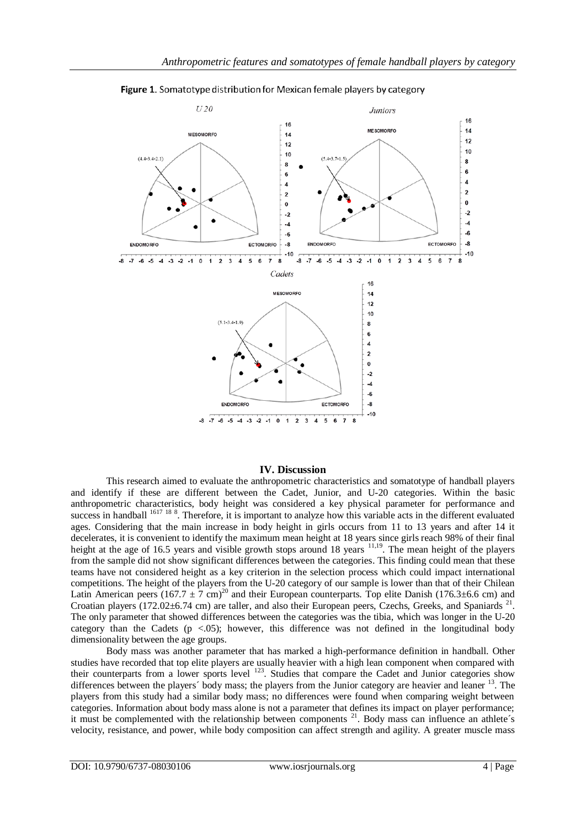

Figure 1. Somatotype distribution for Mexican female players by category

## **IV. Discussion**

This research aimed to evaluate the anthropometric characteristics and somatotype of handball players and identify if these are different between the Cadet, Junior, and U-20 categories. Within the basic anthropometric characteristics, body height was considered a key physical parameter for performance and success in handball <sup>1617</sup> <sup>18</sup> 8. Therefore, it is important to analyze how this variable acts in the different evaluated ages. Considering that the main increase in body height in girls occurs from 11 to 13 years and after 14 it decelerates, it is convenient to identify the maximum mean height at 18 years since girls reach 98% of their final height at the age of 16.5 years and visible growth stops around 18 years <sup>11,19</sup>. The mean height of the players from the sample did not show significant differences between the categories. This finding could mean that these teams have not considered height as a key criterion in the selection process which could impact international competitions. The height of the players from the U-20 category of our sample is lower than that of their Chilean Latin American peers  $(167.7 \pm 7 \text{ cm})^{20}$  and their European counterparts. Top elite Danish (176.3±6.6 cm) and Croatian players (172.02±6.74 cm) are taller, and also their European peers, Czechs, Greeks, and Spaniards<sup>21</sup>. The only parameter that showed differences between the categories was the tibia, which was longer in the U-20 category than the Cadets ( $p < .05$ ); however, this difference was not defined in the longitudinal body dimensionality between the age groups.

Body mass was another parameter that has marked a high-performance definition in handball. Other studies have recorded that top elite players are usually heavier with a high lean component when compared with their counterparts from a lower sports level <sup>123</sup>. Studies that compare the Cadet and Junior categories show differences between the players' body mass; the players from the Junior category are heavier and leaner <sup>13</sup>. The players from this study had a similar body mass; no differences were found when comparing weight between categories. Information about body mass alone is not a parameter that defines its impact on player performance; it must be complemented with the relationship between components  $21$ . Body mass can influence an athlete's velocity, resistance, and power, while body composition can affect strength and agility. A greater muscle mass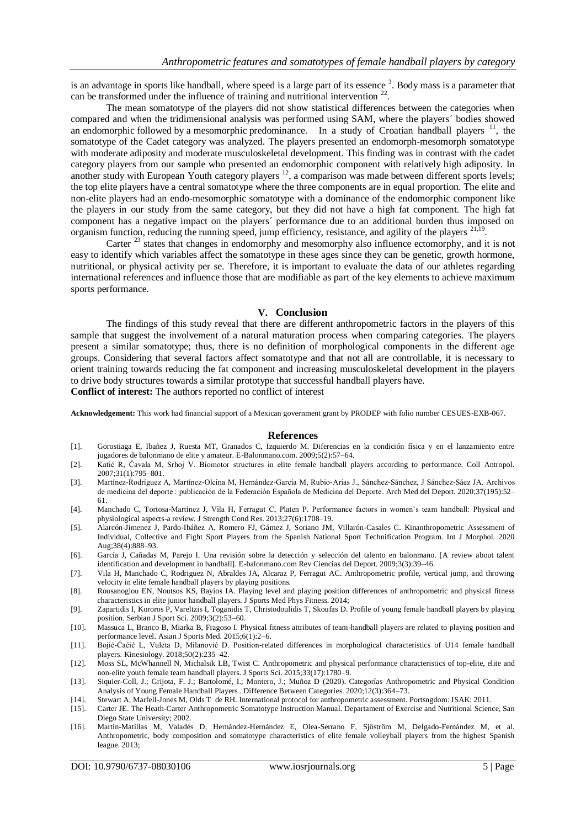is an advantage in sports like handball, where speed is a large part of its essence<sup>3</sup>. Body mass is a parameter that can be transformed under the influence of training and nutritional intervention  $22$ .

The mean somatotype of the players did not show statistical differences between the categories when compared and when the tridimensional analysis was performed using SAM, where the players´ bodies showed an endomorphic followed by a mesomorphic predominance. In a study of Croatian handball players  $\frac{11}{11}$ , the somatotype of the Cadet category was analyzed. The players presented an endomorph-mesomorph somatotype with moderate adiposity and moderate musculoskeletal development. This finding was in contrast with the cadet category players from our sample who presented an endomorphic component with relatively high adiposity. In another study with European Youth category players <sup>12</sup>, a comparison was made between different sports levels; the top elite players have a central somatotype where the three components are in equal proportion. The elite and non-elite players had an endo-mesomorphic somatotype with a dominance of the endomorphic component like the players in our study from the same category, but they did not have a high fat component. The high fat component has a negative impact on the players´ performance due to an additional burden thus imposed on organism function, reducing the running speed, jump efficiency, resistance, and agility of the players <sup>21,19</sup>.

Carter <sup>23</sup> states that changes in endomorphy and mesomorphy also influence ectomorphy, and it is not easy to identify which variables affect the somatotype in these ages since they can be genetic, growth hormone, nutritional, or physical activity per se. Therefore, it is important to evaluate the data of our athletes regarding international references and influence those that are modifiable as part of the key elements to achieve maximum sports performance.

#### **V. Conclusion**

The findings of this study reveal that there are different anthropometric factors in the players of this sample that suggest the involvement of a natural maturation process when comparing categories. The players present a similar somatotype; thus, there is no definition of morphological components in the different age groups. Considering that several factors affect somatotype and that not all are controllable, it is necessary to orient training towards reducing the fat component and increasing musculoskeletal development in the players to drive body structures towards a similar prototype that successful handball players have. **Conflict of interest:** The authors reported no conflict of interest

**Acknowledgement:** This work had financial support of a Mexican government grant by PRODEP with folio number CESUES-EXB-067.

#### **References**

- [1]. Gorostiaga E, Ibañez J, Ruesta MT, Granados C, Izquierdo M. Diferencias en la condición física y en el lanzamiento entre jugadores de balonmano de elite y amateur. E-Balonmano.com. 2009;5(2):57–64.
- [2]. Katić R, Čavala M, Srhoj V. Biomotor structures in elite female handball players according to performance. Coll Antropol. 2007;31(1):795–801.
- [3]. Martínez-Rodríguez A, Martínez-Olcina M, Hernández-García M, Rubio-Arias J., Sánchez-Sánchez, J Sánchez-Sáez JA. Archivos de medicina del deporte : publicación de la Federación Española de Medicina del Deporte. Arch Med del Deport. 2020;37(195):52– 61.
- [4]. Manchado C, Tortosa-Martínez J, Vila H, Ferragut C, Platen P. Performance factors in women's team handball: Physical and physiological aspects-a review. J Strength Cond Res. 2013;27(6):1708–19.
- [5]. Alarcón-Jimenez J, Pardo-Ibáñez A, Romero FJ, Gámez J, Soriano JM, Villarón-Casales C. Kinanthropometric Assessment of Individual, Collective and Fight Sport Players from the Spanish National Sport Technification Program. Int J Morphol. 2020 Aug;38(4):888–93.
- [6]. García J, Cañadas M, Parejo I. Una revisión sobre la detección y selección del talento en balonmano. [A review about talent identification and development in handball]. E-balonmano.com Rev Ciencias del Deport. 2009;3(3):39–46.
- [7]. Vila H, Manchado C, Rodriguez N, Abraldes JA, Alcaraz P, Ferragut AC. Anthropometric profile, vertical jump, and throwing velocity in elite female handball players by playing positions.
- [8]. Rousanoglou EN, Noutsos KS, Bayios IA. Playing level and playing position differences of anthropometric and physical fitness characteristics in elite junior handball players. J Sports Med Phys Fitness. 2014;
- [9]. Zapartidis I, Kororos P, Vareltzis I, Toganidis T, Christodoulidis T, Skoufas D. Profile of young female handball players by playing position. Serbian J Sport Sci. 2009;3(2):53–60.
- [10]. Massuca L, Branco B, Miarka B, Fragoso I. Physical fitness attributes of team-handball players are related to playing position and performance level. Asian J Sports Med. 2015;6(1):2–6.
- [11]. Bojić-Ćaćić L, Vuleta D, Milanović D. Position-related differences in morphological characteristics of U14 female handball players. Kinesiology. 2018;50(2):235–42.
- [12]. Moss SL, McWhannell N, Michalsik LB, Twist C. Anthropometric and physical performance characteristics of top-elite, elite and non-elite youth female team handball players. J Sports Sci. 2015;33(17):1780–9.
- [13]. Siquier-Coll, J.; Grijota, F. J.; Bartolomé, I.; Montero, J.; Muñoz D (2020). Categorías Anthropometric and Physical Condition Analysis of Young Female Handball Players . Difference Between Categories. 2020;12(3):364–73.
- [14]. Stewart A, Marfell-Jones M, Olds T de RH. International protocol for anthropometric assessment. Portsngdom: ISAK; 2011.
- [15]. Carter JE. The Heath-Carter Anthropometric Somatotype Instruction Manual. Departament of Exercise and Nutritional Science, San Diego State University; 2002.
- [16]. Martín-Matillas M, Valadés D, Hernández-Hernández E, Olea-Serrano F, Sjöström M, Delgado-Fernández M, et al. Anthropometric, body composition and somatotype characteristics of elite female volleyball players from the highest Spanish league. 2013;